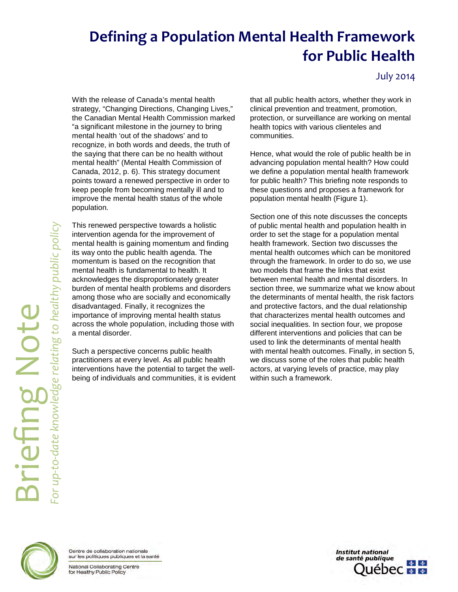# **Defining a Population Mental Health Framework for Public Health**

July 2014

With the release of Canada's mental health strategy, "Changing Directions, Changing Lives." the Canadian Mental Health Commission marked "a significant milestone in the journey to bring mental health 'out of the shadows' and to recognize, in both words and deeds, the truth of the saying that there can be no health without mental health" (Mental Health Commission of Canada, 2012, p. 6). This strategy document points toward a renewed perspective in order to keep people from becoming mentally ill and to improve the mental health status of the whole population.

This renewed perspective towards a holistic intervention agenda for the improvement of mental health is gaining momentum and finding its way onto the public health agenda. The momentum is based on the recognition that mental health is fundamental to health. It acknowledges the disproportionately greater burden of mental health problems and disorders among those who are socially and economically disadvantaged. Finally, it recognizes the importance of improving mental health status across the whole population, including those with a mental disorder.

Such a perspective concerns public health practitioners at every level. As all public health interventions have the potential to target the wellbeing of individuals and communities, it is evident that all public health actors, whether they work in clinical prevention and treatment, promotion, protection, or surveillance are working on mental health topics with various clienteles and communities.

Hence, what would the role of public health be in advancing population mental health? How could we define a population mental health framework for public health? This briefing note responds to these questions and proposes a framework for population mental health (Figure 1).

Section one of this note discusses the concepts of public mental health and population health in order to set the stage for a population mental health framework. Section two discusses the mental health outcomes which can be monitored through the framework. In order to do so, we use two models that frame the links that exist between mental health and mental disorders. In section three, we summarize what we know about the determinants of mental health, the risk factors and protective factors, and the dual relationship that characterizes mental health outcomes and social inequalities. In section four, we propose different interventions and policies that can be used to link the determinants of mental health with mental health outcomes. Finally, in section 5, we discuss some of the roles that public health actors, at varying levels of practice, may play within such a framework.

<span id="page-0-0"></span>

Centre de collaboration nationale sur les politiques publiques et la santé

National Collaborating Centre for Healthy Public Policy

**Institut national** de santé publique  $\Delta$ **ébec x** \*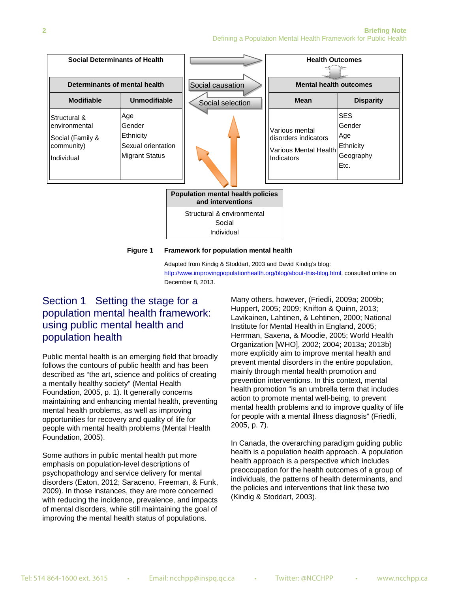

Social Individual

**Figure 1 Framework for population mental health**

Adapted from Kindig & Stoddart, 2003 and David Kindig's blog: [http://www.improvingpopulationhealth.org/blog/about-this-blog.html,](http://www.improvingpopulationhealth.org/blog/about-this-blog.html) consulted online on December 8, 2013.

# Section 1 Setting the stage for a population mental health framework: using public mental health and population health

Public mental health is an emerging field that broadly follows the contours of public health and has been described as "the art, science and politics of creating a mentally healthy society" (Mental Health Foundation, 2005, p. 1). It generally concerns maintaining and enhancing mental health, preventing mental health problems, as well as improving opportunities for recovery and quality of life for people with mental health problems (Mental Health Foundation, 2005).

Some authors in public mental health put more emphasis on population-level descriptions of psychopathology and service delivery for mental disorders (Eaton, 2012; Saraceno, Freeman, & Funk, 2009). In those instances, they are more concerned with reducing the incidence, prevalence, and impacts of mental disorders, while still maintaining the goal of improving the mental health status of populations.

Many others, however, (Friedli, 2009a; 2009b; Huppert, 2005; 2009; Knifton & Quinn, 2013; Lavikainen, Lahtinen, & Lehtinen, 2000; National Institute for Mental Health in England, 2005; Herrman, Saxena, & Moodie, 2005; World Health Organization [WHO], 2002; 2004; 2013a; 2013b) more explicitly aim to improve mental health and prevent mental disorders in the entire population, mainly through mental health promotion and prevention interventions. In this context, mental health promotion "is an umbrella term that includes action to promote mental well-being, to prevent mental health problems and to improve quality of life for people with a mental illness diagnosis" (Friedli, 2005, p. 7).

In Canada, the overarching paradigm guiding public health is a population health approach. A population health approach is a perspective which includes preoccupation for the health outcomes of a group of individuals, the patterns of health determinants, and the policies and interventions that link these two (Kindig & Stoddart, 2003).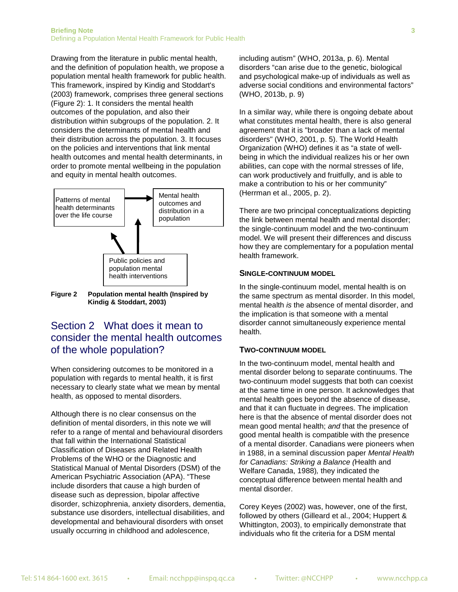Drawing from the literature in public mental health, and the definition of population health, we propose a population mental health framework for public health. This framework, inspired by Kindig and Stoddart's (2003) framework, comprises three general sections (Figure 2): 1. It considers the mental health outcomes of the population, and also their distribution within subgroups of the population. 2. It considers the determinants of mental health and their distribution across the population. 3. It focuses on the policies and interventions that link mental health outcomes and mental health determinants, in order to promote mental wellbeing in the population and equity in mental health outcomes.



**Figure 2 Population mental health (Inspired by Kindig & Stoddart, 2003)**

### Section 2 What does it mean to consider the mental health outcomes of the whole population?

When considering outcomes to be monitored in a population with regards to mental health, it is first necessary to clearly state what we mean by mental health, as opposed to mental disorders.

Although there is no clear consensus on the definition of mental disorders, in this note we will refer to a range of mental and behavioural disorders that fall within the International Statistical Classification of Diseases and Related Health Problems of the WHO or the Diagnostic and Statistical Manual of Mental Disorders (DSM) of the American Psychiatric Association (APA). "These include disorders that cause a high burden of disease such as depression, bipolar affective disorder, schizophrenia, anxiety disorders, dementia, substance use disorders, intellectual disabilities, and developmental and behavioural disorders with onset usually occurring in childhood and adolescence,

including autism" (WHO, 2013a, p. 6). Mental disorders "can arise due to the genetic, biological and psychological make-up of individuals as well as adverse social conditions and environmental factors" (WHO, 2013b, p. 9)

In a similar way, while there is ongoing debate about what constitutes mental health, there is also general agreement that it is "broader than a lack of mental disorders" (WHO, 2001, p. 5). The World Health Organization (WHO) defines it as "a state of wellbeing in which the individual realizes his or her own abilities, can cope with the normal stresses of life, can work productively and fruitfully, and is able to make a contribution to his or her community" (Herrman et al., 2005, p. 2).

There are two principal conceptualizations depicting the link between mental health and mental disorder; the single-continuum model and the two-continuum model. We will present their differences and discuss how they are complementary for a population mental health framework.

### **SINGLE-CONTINUUM MODEL**

In the single-continuum model, mental health is on the same spectrum as mental disorder. In this model, mental health *is* the absence of mental disorder, and the implication is that someone with a mental disorder cannot simultaneously experience mental health.

### **TWO-CONTINUUM MODEL**

In the two-continuum model, mental health and mental disorder belong to separate continuums. The two-continuum model suggests that both can coexist at the same time in one person. It acknowledges that mental health goes beyond the absence of disease, and that it can fluctuate in degrees. The implication here is that the absence of mental disorder does not mean good mental health; *and* that the presence of good mental health is compatible with the presence of a mental disorder. Canadians were pioneers when in 1988, in a seminal discussion paper *Mental Health for Canadians: Striking a Balance (*Health and Welfare Canada, 1988)*,* they indicated the conceptual difference between mental health and mental disorder.

Corey Keyes (2002) was, however, one of the first, followed by others (Gilleard et al., 2004; Huppert & Whittington, 2003), to empirically demonstrate that individuals who fit the criteria for a DSM mental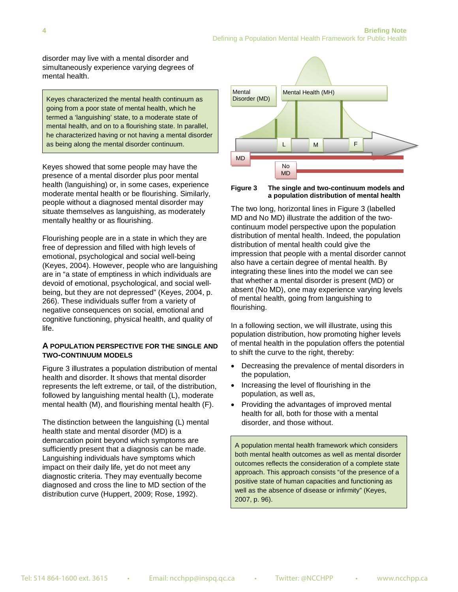disorder may live with a mental disorder and simultaneously experience varying degrees of mental health.

Keyes characterized the mental health continuum as going from a poor state of mental health, which he termed a 'languishing' state, to a moderate state of mental health, and on to a flourishing state. In parallel, he characterized having or not having a mental disorder as being along the mental disorder continuum.

Keyes showed that some people may have the presence of a mental disorder plus poor mental health (languishing) or, in some cases, experience moderate mental health or be flourishing. Similarly, people without a diagnosed mental disorder may situate themselves as languishing, as moderately mentally healthy or as flourishing.

Flourishing people are in a state in which they are free of depression and filled with high levels of emotional, psychological and social well-being (Keyes, 2004). However, people who are languishing are in "a state of emptiness in which individuals are devoid of emotional, psychological, and social wellbeing, but they are not depressed" (Keyes, 2004, p. 266). These individuals suffer from a variety of negative consequences on social, emotional and cognitive functioning, physical health, and quality of life.

#### **A POPULATION PERSPECTIVE FOR THE SINGLE AND TWO-CONTINUUM MODELS**

Figure 3 illustrates a population distribution of mental health and disorder. It shows that mental disorder represents the left extreme, or tail, of the distribution, followed by languishing mental health (L), moderate mental health (M), and flourishing mental health (F).

The distinction between the languishing (L) mental health state and mental disorder (MD) is a demarcation point beyond which symptoms are sufficiently present that a diagnosis can be made. Languishing individuals have symptoms which impact on their daily life, yet do not meet any diagnostic criteria. They may eventually become diagnosed and cross the line to MD section of the distribution curve (Huppert, 2009; Rose, 1992).



#### **Figure 3 The single and two-continuum models and a population distribution of mental health**

The two long, horizontal lines in Figure 3 (labelled MD and No MD) illustrate the addition of the twocontinuum model perspective upon the population distribution of mental health. Indeed, the population distribution of mental health could give the impression that people with a mental disorder cannot also have a certain degree of mental health. By integrating these lines into the model we can see that whether a mental disorder is present (MD) or absent (No MD), one may experience varying levels of mental health, going from languishing to flourishing.

In a following section, we will illustrate, using this population distribution, how promoting higher levels of mental health in the population offers the potential to shift the curve to the right, thereby:

- Decreasing the prevalence of mental disorders in the population,
- Increasing the level of flourishing in the population, as well as,
- Providing the advantages of improved mental health for all, both for those with a mental disorder, and those without.

A population mental health framework which considers both mental health outcomes as well as mental disorder outcomes reflects the consideration of a complete state approach. This approach consists "of the presence of a positive state of human capacities and functioning as well as the absence of disease or infirmity" (Keyes, 2007, p. 96).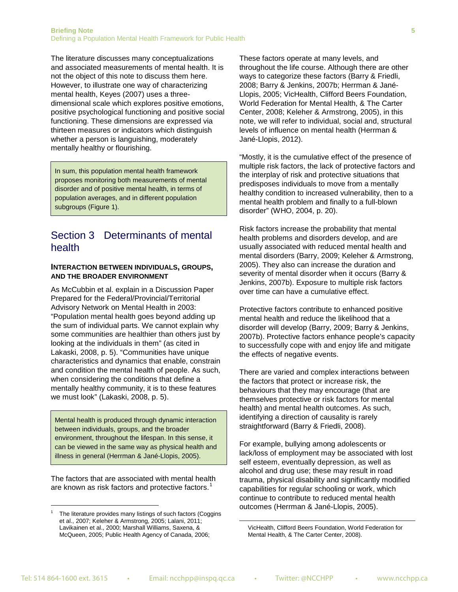The literature discusses many conceptualizations and associated measurements of mental health. It is not the object of this note to discuss them here. However, to illustrate one way of characterizing mental health, Keyes (2007) uses a threedimensional scale which explores positive emotions, positive psychological functioning and positive social functioning. These dimensions are expressed via thirteen measures or indicators which distinguish whether a person is languishing, moderately mentally healthy or flourishing.

In sum, this population mental health framework proposes monitoring both measurements of mental disorder and of positive mental health, in terms of population averages, and in different population subgroups (Figure 1).

# Section 3 Determinants of mental health

#### **INTERACTION BETWEEN INDIVIDUALS, GROUPS, AND THE BROADER ENVIRONMENT**

As McCubbin et al. explain in a Discussion Paper Prepared for the Federal/Provincial/Territorial Advisory Network on Mental Health in 2003: "Population mental health goes beyond adding up the sum of individual parts. We cannot explain why some communities are healthier than others just by looking at the individuals in them" (as cited in Lakaski, 2008, p. 5). "Communities have unique characteristics and dynamics that enable, constrain and condition the mental health of people. As such, when considering the conditions that define a mentally healthy community, it is to these features we must look" (Lakaski, 2008, p. 5).

Mental health is produced through dynamic interaction between individuals, groups, and the broader environment, throughout the lifespan. In this sense, it can be viewed in the same way as physical health and illness in general (Herrman & Jané-Llopis, 2005).

The factors that are associated with mental health are known as risk factors and protective factors.<sup>[1](#page-0-0)</sup>

 $\overline{a}$ 

These factors operate at many levels, and throughout the life course. Although there are other ways to categorize these factors (Barry & Friedli, 2008; Barry & Jenkins, 2007b; Herrman & Jané-Llopis, 2005; VicHealth, Clifford Beers Foundation, World Federation for Mental Health, & The Carter Center, 2008; Keleher & Armstrong, 2005), in this note, we will refer to individual, social and, structural levels of influence on mental health (Herrman & Jané-Llopis, 2012).

"Mostly, it is the cumulative effect of the presence of multiple risk factors, the lack of protective factors and the interplay of risk and protective situations that predisposes individuals to move from a mentally healthy condition to increased vulnerability, then to a mental health problem and finally to a full-blown disorder" (WHO, 2004, p. 20).

Risk factors increase the probability that mental health problems and disorders develop, and are usually associated with reduced mental health and mental disorders (Barry, 2009; Keleher & Armstrong, 2005). They also can increase the duration and severity of mental disorder when it occurs (Barry & Jenkins, 2007b). Exposure to multiple risk factors over time can have a cumulative effect.

Protective factors contribute to enhanced positive mental health and reduce the likelihood that a disorder will develop (Barry, 2009; Barry & Jenkins, 2007b). Protective factors enhance people's capacity to successfully cope with and enjoy life and mitigate the effects of negative events.

There are varied and complex interactions between the factors that protect or increase risk, the behaviours that they may encourage (that are themselves protective or risk factors for mental health) and mental health outcomes. As such, identifying a direction of causality is rarely straightforward (Barry & Friedli, 2008).

For example, bullying among adolescents or lack/loss of employment may be associated with lost self esteem, eventually depression, as well as alcohol and drug use; these may result in road trauma, physical disability and significantly modified capabilities for regular schooling or work, which continue to contribute to reduced mental health outcomes (Herrman & Jané-Llopis, 2005).

**.** 

<sup>1</sup> The literature provides many listings of such factors (Coggins et al., 2007; Keleher & Armstrong, 2005; Lalani, 2011; Lavikainen et al., 2000; Marshall Williams, Saxena, & McQueen, 2005; Public Health Agency of Canada, 2006;

VicHealth, Clifford Beers Foundation, World Federation for Mental Health, & The Carter Center, 2008).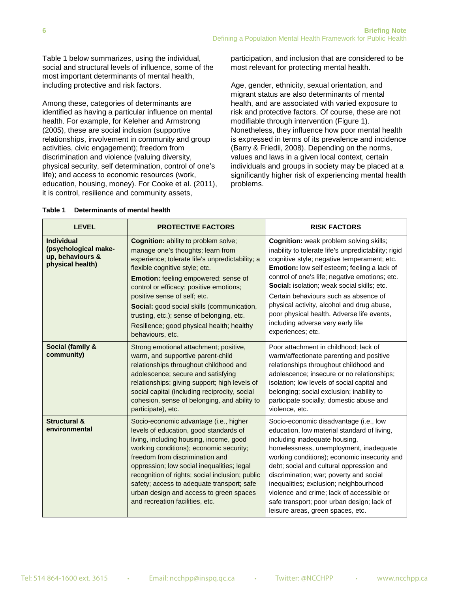Table 1 below summarizes, using the individual, social and structural levels of influence, some of the most important determinants of mental health, including protective and risk factors.

Among these, categories of determinants are identified as having a particular influence on mental health. For example, for Keleher and Armstrong (2005), these are social inclusion (supportive relationships, involvement in community and group activities, civic engagement); freedom from discrimination and violence (valuing diversity, physical security, self determination, control of one's life); and access to economic resources (work, education, housing, money). For Cooke et al. (2011), it is control, resilience and community assets,

participation, and inclusion that are considered to be most relevant for protecting mental health.

Age, gender, ethnicity, sexual orientation, and migrant status are also determinants of mental health, and are associated with varied exposure to risk and protective factors. Of course, these are not modifiable through intervention (Figure 1). Nonetheless, they influence how poor mental health is expressed in terms of its prevalence and incidence (Barry & Friedli, 2008). Depending on the norms, values and laws in a given local context, certain individuals and groups in society may be placed at a significantly higher risk of experiencing mental health problems.

| <b>LEVEL</b>                                                                      | <b>PROTECTIVE FACTORS</b>                                                                                                                                                                                                                                                                                                                                                                                                                                   | <b>RISK FACTORS</b>                                                                                                                                                                                                                                                                                                                                                                                                                                                                                  |
|-----------------------------------------------------------------------------------|-------------------------------------------------------------------------------------------------------------------------------------------------------------------------------------------------------------------------------------------------------------------------------------------------------------------------------------------------------------------------------------------------------------------------------------------------------------|------------------------------------------------------------------------------------------------------------------------------------------------------------------------------------------------------------------------------------------------------------------------------------------------------------------------------------------------------------------------------------------------------------------------------------------------------------------------------------------------------|
| <b>Individual</b><br>(psychological make-<br>up, behaviours &<br>physical health) | <b>Cognition:</b> ability to problem solve;<br>manage one's thoughts; learn from<br>experience; tolerate life's unpredictability; a<br>flexible cognitive style; etc.<br><b>Emotion:</b> feeling empowered; sense of<br>control or efficacy; positive emotions;<br>positive sense of self; etc.<br>Social: good social skills (communication,<br>trusting, etc.); sense of belonging, etc.<br>Resilience; good physical health; healthy<br>behaviours, etc. | <b>Cognition:</b> weak problem solving skills;<br>inability to tolerate life's unpredictability; rigid<br>cognitive style; negative temperament; etc.<br>Emotion: low self esteem; feeling a lack of<br>control of one's life; negative emotions; etc.<br>Social: isolation; weak social skills; etc.<br>Certain behaviours such as absence of<br>physical activity, alcohol and drug abuse,<br>poor physical health. Adverse life events,<br>including adverse very early life<br>experiences; etc. |
| Social (family &<br>community)                                                    | Strong emotional attachment; positive,<br>warm, and supportive parent-child<br>relationships throughout childhood and<br>adolescence; secure and satisfying<br>relationships; giving support; high levels of<br>social capital (including reciprocity, social<br>cohesion, sense of belonging, and ability to<br>participate), etc.                                                                                                                         | Poor attachment in childhood; lack of<br>warm/affectionate parenting and positive<br>relationships throughout childhood and<br>adolescence; insecure or no relationships;<br>isolation; low levels of social capital and<br>belonging; social exclusion; inability to<br>participate socially; domestic abuse and<br>violence, etc.                                                                                                                                                                  |
| <b>Structural &amp;</b><br>environmental                                          | Socio-economic advantage (i.e., higher<br>levels of education, good standards of<br>living, including housing, income, good<br>working conditions); economic security;<br>freedom from discrimination and<br>oppression; low social inequalities; legal<br>recognition of rights; social inclusion; public<br>safety; access to adequate transport; safe<br>urban design and access to green spaces<br>and recreation facilities, etc.                      | Socio-economic disadvantage (i.e., low<br>education, low material standard of living,<br>including inadequate housing,<br>homelessness, unemployment, inadequate<br>working conditions); economic insecurity and<br>debt; social and cultural oppression and<br>discrimination; war; poverty and social<br>inequalities; exclusion; neighbourhood<br>violence and crime; lack of accessible or<br>safe transport; poor urban design; lack of<br>leisure areas, green spaces, etc.                    |

#### **Table 1 Determinants of mental health**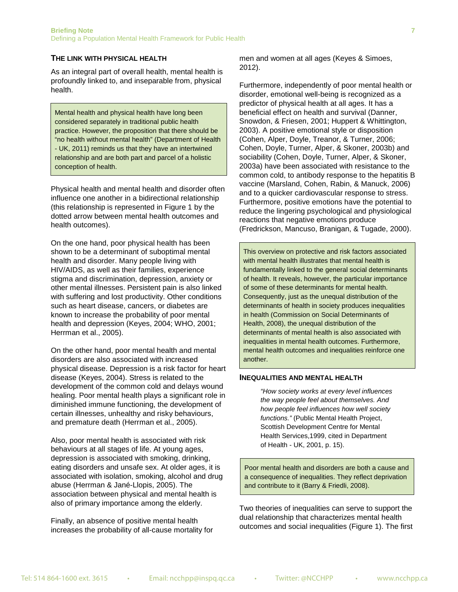#### **THE LINK WITH PHYSICAL HEALTH**

As an integral part of overall health, mental health is profoundly linked to, and inseparable from, physical health.

Mental health and physical health have long been considered separately in traditional public health practice. However, the proposition that there should be "no health without mental health" (Department of Health - UK, 2011) reminds us that they have an intertwined relationship and are both part and parcel of a holistic conception of health.

Physical health and mental health and disorder often influence one another in a bidirectional relationship (this relationship is represented in Figure 1 by the dotted arrow between mental health outcomes and health outcomes).

On the one hand, poor physical health has been shown to be a determinant of suboptimal mental health and disorder. Many people living with HIV/AIDS, as well as their families, experience stigma and discrimination, depression, anxiety or other mental illnesses. Persistent pain is also linked with suffering and lost productivity. Other conditions such as heart disease, cancers, or diabetes are known to increase the probability of poor mental health and depression (Keyes, 2004; WHO, 2001; Herrman et al., 2005).

On the other hand, poor mental health and mental disorders are also associated with increased physical disease. Depression is a risk factor for heart disease (Keyes, 2004). Stress is related to the development of the common cold and delays wound healing. Poor mental health plays a significant role in diminished immune functioning, the development of certain illnesses, unhealthy and risky behaviours, and premature death (Herrman et al., 2005).

Also, poor mental health is associated with risk behaviours at all stages of life. At young ages, depression is associated with smoking, drinking, eating disorders and unsafe sex. At older ages, it is associated with isolation, smoking, alcohol and drug abuse (Herrman & Jané-Llopis, 2005). The association between physical and mental health is also of primary importance among the elderly.

Finally, an absence of positive mental health increases the probability of all-cause mortality for men and women at all ages (Keyes & Simoes, 2012).

Furthermore, independently of poor mental health or disorder, emotional well-being is recognized as a predictor of physical health at all ages. It has a beneficial effect on health and survival (Danner, Snowdon, & Friesen, 2001; Huppert & Whittington, 2003). A positive emotional style or disposition (Cohen, Alper, Doyle, Treanor, & Turner, 2006; Cohen, Doyle, Turner, Alper, & Skoner, 2003b) and sociability (Cohen, Doyle, Turner, Alper, & Skoner, 2003a) have been associated with resistance to the common cold, to antibody response to the hepatitis B vaccine (Marsland, Cohen, Rabin, & Manuck, 2006) and to a quicker cardiovascular response to stress. Furthermore, positive emotions have the potential to reduce the lingering psychological and physiological reactions that negative emotions produce (Fredrickson, Mancuso, Branigan, & Tugade, 2000).

This overview on protective and risk factors associated with mental health illustrates that mental health is fundamentally linked to the general social determinants of health. It reveals, however, the particular importance of some of these determinants for mental health. Consequently, just as the unequal distribution of the determinants of health in society produces inequalities in health (Commission on Social Determinants of Health, 2008), the unequal distribution of the determinants of mental health is also associated with inequalities in mental health outcomes. Furthermore, mental health outcomes and inequalities reinforce one another.

#### **INEQUALITIES AND MENTAL HEALTH**

*"How society works at every level influences the way people feel about themselves. And how people feel influences how well society functions."* (Public Mental Health Project, Scottish Development Centre for Mental Health Services,1999, cited in Department of Health - UK, 2001, p. 15).

Poor mental health and disorders are both a cause and a consequence of inequalities. They reflect deprivation and contribute to it (Barry & Friedli, 2008).

Two theories of inequalities can serve to support the dual relationship that characterizes mental health outcomes and social inequalities (Figure 1). The first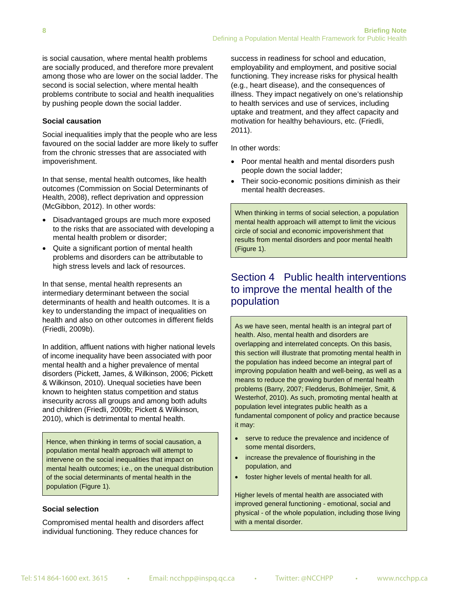is social causation, where mental health problems are socially produced, and therefore more prevalent among those who are lower on the social ladder. The second is social selection, where mental health problems contribute to social and health inequalities by pushing people down the social ladder.

### **Social causation**

Social inequalities imply that the people who are less favoured on the social ladder are more likely to suffer from the chronic stresses that are associated with impoverishment.

In that sense, mental health outcomes, like health outcomes (Commission on Social Determinants of Health, 2008), reflect deprivation and oppression (McGibbon, 2012). In other words:

- Disadvantaged groups are much more exposed to the risks that are associated with developing a mental health problem or disorder;
- Quite a significant portion of mental health problems and disorders can be attributable to high stress levels and lack of resources.

In that sense, mental health represents an intermediary determinant between the social determinants of health and health outcomes. It is a key to understanding the impact of inequalities on health and also on other outcomes in different fields (Friedli, 2009b).

In addition, affluent nations with higher national levels of income inequality have been associated with poor mental health and a higher prevalence of mental disorders (Pickett, James, & Wilkinson, 2006; Pickett & Wilkinson, 2010). Unequal societies have been known to heighten status competition and status insecurity across all groups and among both adults and children (Friedli, 2009b; Pickett & Wilkinson, 2010), which is detrimental to mental health.

Hence, when thinking in terms of social causation, a population mental health approach will attempt to intervene on the social inequalities that impact on mental health outcomes; i.e., on the unequal distribution of the social determinants of mental health in the population (Figure 1).

#### **Social selection**

Compromised mental health and disorders affect individual functioning. They reduce chances for

success in readiness for school and education, employability and employment, and positive social functioning. They increase risks for physical health (e.g., heart disease), and the consequences of illness. They impact negatively on one's relationship to health services and use of services, including uptake and treatment, and they affect capacity and motivation for healthy behaviours, etc. (Friedli, 2011).

In other words:

- Poor mental health and mental disorders push people down the social ladder;
- Their socio-economic positions diminish as their mental health decreases.

When thinking in terms of social selection, a population mental health approach will attempt to limit the vicious circle of social and economic impoverishment that results from mental disorders and poor mental health (Figure 1).

# Section 4 Public health interventions to improve the mental health of the population

As we have seen, mental health is an integral part of health. Also, mental health and disorders are overlapping and interrelated concepts. On this basis, this section will illustrate that promoting mental health in the population has indeed become an integral part of improving population health and well-being, as well as a means to reduce the growing burden of mental health problems (Barry, 2007; Fledderus, Bohlmeijer, Smit, & Westerhof, 2010). As such, promoting mental health at population level integrates public health as a fundamental component of policy and practice because it may:

- serve to reduce the prevalence and incidence of some mental disorders,
- increase the prevalence of flourishing in the population, and
- foster higher levels of mental health for all.

Higher levels of mental health are associated with improved general functioning - emotional, social and physical - of the whole population, including those living with a mental disorder.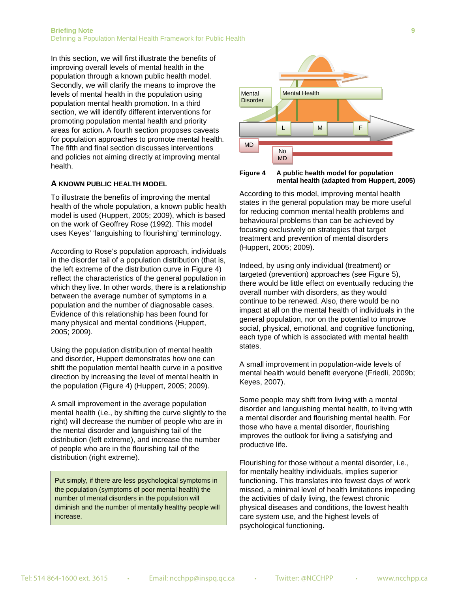In this section, we will first illustrate the benefits of improving overall levels of mental health in the population through a known public health model. Secondly, we will clarify the means to improve the levels of mental health in the population using population mental health promotion. In a third section, we will identify different interventions for promoting population mental health and priority areas for action**.** A fourth section proposes caveats for population approaches to promote mental health. The fifth and final section discusses interventions and policies not aiming directly at improving mental health.

#### **A KNOWN PUBLIC HEALTH MODEL**

To illustrate the benefits of improving the mental health of the whole population, a known public health model is used (Huppert, 2005; 2009), which is based on the work of Geoffrey Rose (1992). This model uses Keyes' 'languishing to flourishing' terminology.

According to Rose's population approach, individuals in the disorder tail of a population distribution (that is, the left extreme of the distribution curve in Figure 4) reflect the characteristics of the general population in which they live. In other words, there is a relationship between the average number of symptoms in a population and the number of diagnosable cases. Evidence of this relationship has been found for many physical and mental conditions (Huppert, 2005; 2009).

Using the population distribution of mental health and disorder, Huppert demonstrates how one can shift the population mental health curve in a positive direction by increasing the level of mental health in the population (Figure 4) (Huppert, 2005; 2009).

A small improvement in the average population mental health (i.e., by shifting the curve slightly to the right) will decrease the number of people who are in the mental disorder and languishing tail of the distribution (left extreme), and increase the number of people who are in the flourishing tail of the distribution (right extreme).

Put simply, if there are less psychological symptoms in the population (symptoms of poor mental health) the number of mental disorders in the population will diminish and the number of mentally healthy people will increase.



**Figure 4 A public health model for population mental health (adapted from Huppert, 2005)**

According to this model, improving mental health states in the general population may be more useful for reducing common mental health problems and behavioural problems than can be achieved by focusing exclusively on strategies that target treatment and prevention of mental disorders (Huppert, 2005; 2009).

Indeed, by using only individual (treatment) or targeted (prevention) approaches (see Figure 5), there would be little effect on eventually reducing the overall number with disorders, as they would continue to be renewed. Also, there would be no impact at all on the mental health of individuals in the general population, nor on the potential to improve social, physical, emotional, and cognitive functioning, each type of which is associated with mental health states.

A small improvement in population-wide levels of mental health would benefit everyone (Friedli, 2009b; Keyes, 2007).

Some people may shift from living with a mental disorder and languishing mental health, to living with a mental disorder and flourishing mental health. For those who have a mental disorder, flourishing improves the outlook for living a satisfying and productive life.

Flourishing for those without a mental disorder, i.e., for mentally healthy individuals, implies superior functioning. This translates into fewest days of work missed, a minimal level of health limitations impeding the activities of daily living, the fewest chronic physical diseases and conditions, the lowest health care system use, and the highest levels of psychological functioning.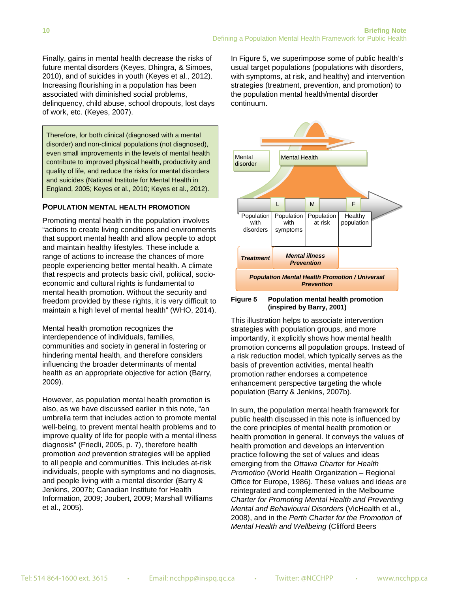Finally, gains in mental health decrease the risks of future mental disorders (Keyes, Dhingra, & Simoes, 2010), and of suicides in youth (Keyes et al., 2012). Increasing flourishing in a population has been associated with diminished social problems, delinquency, child abuse, school dropouts, lost days of work, etc. (Keyes, 2007).

Therefore, for both clinical (diagnosed with a mental disorder) and non-clinical populations (not diagnosed), even small improvements in the levels of mental health contribute to improved physical health, productivity and quality of life, and reduce the risks for mental disorders and suicides (National Institute for Mental Health in England, 2005; Keyes et al., 2010; Keyes et al., 2012).

### **POPULATION MENTAL HEALTH PROMOTION**

Promoting mental health in the population involves "actions to create living conditions and environments that support mental health and allow people to adopt and maintain healthy lifestyles. These include a range of actions to increase the chances of more people experiencing better mental health. A climate that respects and protects basic civil, political, socioeconomic and cultural rights is fundamental to mental health promotion. Without the security and freedom provided by these rights, it is very difficult to maintain a high level of mental health" (WHO, 2014).

Mental health promotion recognizes the interdependence of individuals, families, communities and society in general in fostering or hindering mental health, and therefore considers influencing the broader determinants of mental health as an appropriate objective for action (Barry, 2009).

However, as population mental health promotion is also, as we have discussed earlier in this note, "an umbrella term that includes action to promote mental well-being, to prevent mental health problems and to improve quality of life for people with a mental illness diagnosis" (Friedli, 2005, p. 7), therefore health promotion *and* prevention strategies will be applied to all people and communities. This includes at-risk individuals, people with symptoms and no diagnosis, and people living with a mental disorder (Barry & Jenkins, 2007b; Canadian Institute for Health Information, 2009; Joubert, 2009; Marshall Williams et al., 2005).

In Figure 5, we superimpose some of public health's usual target populations (populations with disorders, with symptoms, at risk, and healthy) and intervention strategies (treatment, prevention, and promotion) to the population mental health/mental disorder continuum.



#### **Figure 5 Population mental health promotion (inspired by Barry, 2001)**

This illustration helps to associate intervention strategies with population groups, and more importantly, it explicitly shows how mental health promotion concerns all population groups. Instead of a risk reduction model, which typically serves as the basis of prevention activities, mental health promotion rather endorses a competence enhancement perspective targeting the whole population (Barry & Jenkins, 2007b).

In sum, the population mental health framework for public health discussed in this note is influenced by the core principles of mental health promotion or health promotion in general. It conveys the values of health promotion and develops an intervention practice following the set of values and ideas emerging from the *Ottawa Charter for Health Promotion* (World Health Organization – Regional Office for Europe, 1986). These values and ideas are reintegrated and complemented in the Melbourne *Charter for Promoting Mental Health and Preventing Mental and Behavioural Disorders* (VicHealth et al., 2008), and in the *Perth Charter for the Promotion of Mental Health and Wellbeing* (Clifford Beers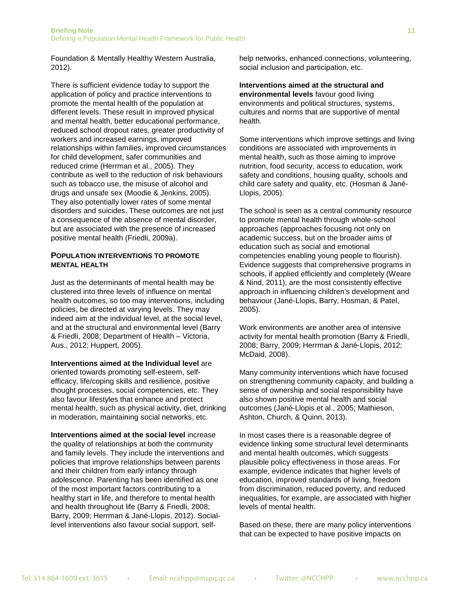Foundation & Mentally Healthy Western Australia, 2012).

There is sufficient evidence today to support the application of policy and practice interventions to promote the mental health of the population at different levels. These result in improved physical and mental health, better educational performance, reduced school dropout rates, greater productivity of workers and increased earnings, improved relationships within families, improved circumstances for child development, safer communities and reduced crime (Herrman et al., 2005). They contribute as well to the reduction of risk behaviours such as tobacco use, the misuse of alcohol and drugs and unsafe sex (Moodie & Jenkins, 2005). They also potentially lower rates of some mental disorders and suicides. These outcomes are not just a consequence of the absence of mental disorder, but are associated with the presence of increased positive mental health (Friedli, 2009a).

#### **POPULATION INTERVENTIONS TO PROMOTE MENTAL HEALTH**

Just as the determinants of mental health may be clustered into three levels of influence on mental health outcomes, so too may interventions, including policies, be directed at varying levels. They may indeed aim at the individual level, at the social level, and at the structural and environmental level (Barry & Friedli, 2008; Department of Health – Victoria, Aus., 2012; Huppert, 2005).

**Interventions aimed at the Individual level** are oriented towards promoting self-esteem, selfefficacy, life/coping skills and resilience, positive thought processes, social competencies, etc. They also favour lifestyles that enhance and protect mental health, such as physical activity, diet, drinking in moderation, maintaining social networks, etc.

**Interventions aimed at the social level** increase the quality of relationships at both the community and family levels. They include the interventions and policies that improve relationships between parents and their children from early infancy through adolescence. Parenting has been identified as one of the most important factors contributing to a healthy start in life, and therefore to mental health and health throughout life (Barry & Friedli, 2008; Barry, 2009; Herrman & Jané-Llopis, 2012). Sociallevel interventions also favour social support, selfhelp networks, enhanced connections, volunteering, social inclusion and participation, etc.

**Interventions aimed at the structural and environmental levels** favour good living environments and political structures, systems, cultures and norms that are supportive of mental health.

Some interventions which improve settings and living conditions are associated with improvements in mental health, such as those aiming to improve nutrition, food security, access to education, work safety and conditions, housing quality, schools and child care safety and quality, etc. (Hosman & Jané-Llopis, 2005).

The school is seen as a central community resource to promote mental health through whole-school approaches (approaches focusing not only on academic success, but on the broader aims of education such as social and emotional competencies enabling young people to flourish). Evidence suggests that comprehensive programs in schools, if applied efficiently and completely (Weare & Nind, 2011), are the most consistently effective approach in influencing children's development and behaviour (Jané-Llopis, Barry, Hosman, & Patel, 2005).

Work environments are another area of intensive activity for mental health promotion (Barry & Friedli, 2008; Barry, 2009; Herrman & Jané-Llopis, 2012; McDaid, 2008).

Many community interventions which have focused on strengthening community capacity, and building a sense of ownership and social responsibility have also shown positive mental health and social outcomes (Jané-Llopis et al., 2005; Mathieson, Ashton, Church, & Quinn, 2013).

In most cases there is a reasonable degree of evidence linking some structural level determinants and mental health outcomes, which suggests plausible policy effectiveness in those areas. For example, evidence indicates that higher levels of education, improved standards of living, freedom from discrimination, reduced poverty, and reduced inequalities, for example, are associated with higher levels of mental health.

Based on these, there are many policy interventions that can be expected to have positive impacts on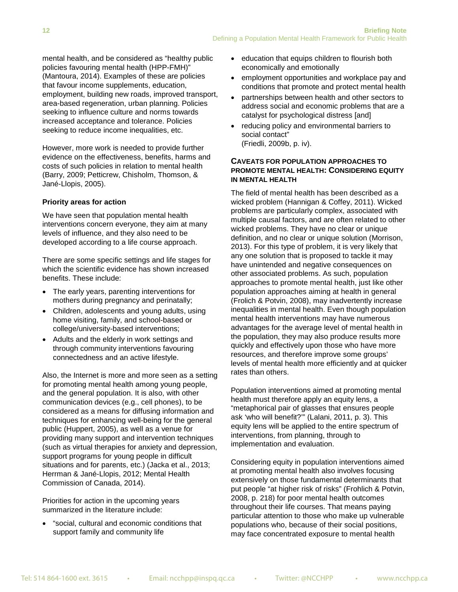mental health, and be considered as "healthy public policies favouring mental health (HPP-FMH)" (Mantoura, 2014). Examples of these are policies that favour income supplements, education, employment, building new roads, improved transport, area-based regeneration, urban planning. Policies seeking to influence culture and norms towards increased acceptance and tolerance. Policies seeking to reduce income inequalities, etc.

However, more work is needed to provide further evidence on the effectiveness, benefits, harms and costs of such policies in relation to mental health (Barry, 2009; Petticrew, Chisholm, Thomson, & Jané-Llopis, 2005).

#### **Priority areas for action**

We have seen that population mental health interventions concern everyone, they aim at many levels of influence, and they also need to be developed according to a life course approach.

There are some specific settings and life stages for which the scientific evidence has shown increased benefits. These include:

- The early years, parenting interventions for mothers during pregnancy and perinatally;
- Children, adolescents and young adults, using home visiting, family, and school-based or college/university-based interventions;
- Adults and the elderly in work settings and through community interventions favouring connectedness and an active lifestyle.

Also, the Internet is more and more seen as a setting for promoting mental health among young people, and the general population. It is also, with other communication devices (e.g., cell phones), to be considered as a means for diffusing information and techniques for enhancing well-being for the general public (Huppert, 2005), as well as a venue for providing many support and intervention techniques (such as virtual therapies for anxiety and depression, support programs for young people in difficult situations and for parents, etc.) (Jacka et al., 2013; Herrman & Jané-Llopis, 2012; Mental Health Commission of Canada, 2014).

Priorities for action in the upcoming years summarized in the literature include:

• "social, cultural and economic conditions that support family and community life

- education that equips children to flourish both economically and emotionally
- employment opportunities and workplace pay and conditions that promote and protect mental health
- partnerships between health and other sectors to address social and economic problems that are a catalyst for psychological distress [and]
- reducing policy and environmental barriers to social contact" (Friedli, 2009b, p. iv).

### **CAVEATS FOR POPULATION APPROACHES TO PROMOTE MENTAL HEALTH: CONSIDERING EQUITY IN MENTAL HEALTH**

The field of mental health has been described as a wicked problem (Hannigan & Coffey, 2011). Wicked problems are particularly complex, associated with multiple causal factors, and are often related to other wicked problems. They have no clear or unique definition, and no clear or unique solution (Morrison, 2013). For this type of problem, it is very likely that any one solution that is proposed to tackle it may have unintended and negative consequences on other associated problems. As such, population approaches to promote mental health, just like other population approaches aiming at health in general (Frolich & Potvin, 2008), may inadvertently increase inequalities in mental health. Even though population mental health interventions may have numerous advantages for the average level of mental health in the population, they may also produce results more quickly and effectively upon those who have more resources, and therefore improve some groups' levels of mental health more efficiently and at quicker rates than others.

Population interventions aimed at promoting mental health must therefore apply an equity lens, a "metaphorical pair of glasses that ensures people ask 'who will benefit?'" (Lalani, 2011, p. 3). This equity lens will be applied to the entire spectrum of interventions, from planning, through to implementation and evaluation.

Considering equity in population interventions aimed at promoting mental health also involves focusing extensively on those fundamental determinants that put people "at higher risk of risks" (Frohlich & Potvin, 2008, p. 218) for poor mental health outcomes throughout their life courses. That means paying particular attention to those who make up vulnerable populations who, because of their social positions, may face concentrated exposure to mental health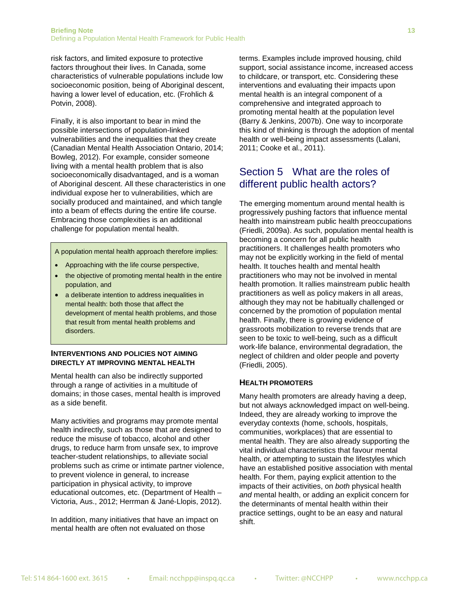risk factors, and limited exposure to protective factors throughout their lives. In Canada, some characteristics of vulnerable populations include low socioeconomic position, being of Aboriginal descent, having a lower level of education, etc. (Frohlich & Potvin, 2008).

Finally, it is also important to bear in mind the possible intersections of population-linked vulnerabilities and the inequalities that they create (Canadian Mental Health Association Ontario, 2014; Bowleg, 2012). For example, consider someone living with a mental health problem that is also socioeconomically disadvantaged, and is a woman of Aboriginal descent. All these characteristics in one individual expose her to vulnerabilities, which are socially produced and maintained, and which tangle into a beam of effects during the entire life course. Embracing those complexities is an additional challenge for population mental health.

A population mental health approach therefore implies:

- Approaching with the life course perspective,
- the objective of promoting mental health in the entire population, and
- a deliberate intention to address inequalities in mental health: both those that affect the development of mental health problems, and those that result from mental health problems and disorders.

#### **INTERVENTIONS AND POLICIES NOT AIMING DIRECTLY AT IMPROVING MENTAL HEALTH**

Mental health can also be indirectly supported through a range of activities in a multitude of domains; in those cases, mental health is improved as a side benefit.

Many activities and programs may promote mental health indirectly, such as those that are designed to reduce the misuse of tobacco, alcohol and other drugs, to reduce harm from unsafe sex, to improve teacher-student relationships, to alleviate social problems such as crime or intimate partner violence, to prevent violence in general, to increase participation in physical activity, to improve educational outcomes, etc. (Department of Health – Victoria, Aus., 2012; Herrman & Jané-Llopis, 2012).

In addition, many initiatives that have an impact on mental health are often not evaluated on those

terms. Examples include improved housing, child support, social assistance income, increased access to childcare, or transport, etc. Considering these interventions and evaluating their impacts upon mental health is an integral component of a comprehensive and integrated approach to promoting mental health at the population level (Barry & Jenkins, 2007b). One way to incorporate this kind of thinking is through the adoption of mental health or well-being impact assessments (Lalani, 2011; Cooke et al., 2011).

### Section 5 What are the roles of different public health actors?

The emerging momentum around mental health is progressively pushing factors that influence mental health into mainstream public health preoccupations (Friedli, 2009a). As such, population mental health is becoming a concern for all public health practitioners. It challenges health promoters who may not be explicitly working in the field of mental health. It touches health and mental health practitioners who may not be involved in mental health promotion. It rallies mainstream public health practitioners as well as policy makers in all areas, although they may not be habitually challenged or concerned by the promotion of population mental health. Finally, there is growing evidence of grassroots mobilization to reverse trends that are seen to be toxic to well-being, such as a difficult work-life balance, environmental degradation, the neglect of children and older people and poverty (Friedli, 2005).

#### **HEALTH PROMOTERS**

Many health promoters are already having a deep, but not always acknowledged impact on well-being. Indeed, they are already working to improve the everyday contexts (home, schools, hospitals, communities, workplaces) that are essential to mental health. They are also already supporting the vital individual characteristics that favour mental health, or attempting to sustain the lifestyles which have an established positive association with mental health. For them, paying explicit attention to the impacts of their activities, on *both* physical health *and* mental health, or adding an explicit concern for the determinants of mental health within their practice settings, ought to be an easy and natural shift.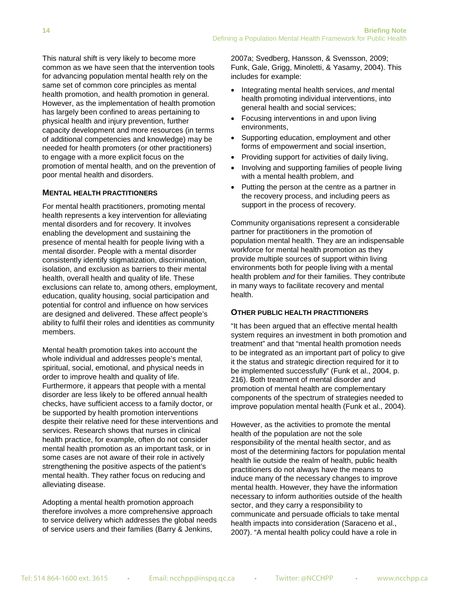This natural shift is very likely to become more common as we have seen that the intervention tools for advancing population mental health rely on the same set of common core principles as mental health promotion, and health promotion in general. However, as the implementation of health promotion has largely been confined to areas pertaining to physical health and injury prevention, further capacity development and more resources (in terms of additional competencies and knowledge) may be needed for health promoters (or other practitioners) to engage with a more explicit focus on the promotion of mental health, and on the prevention of poor mental health and disorders.

### **MENTAL HEALTH PRACTITIONERS**

For mental health practitioners, promoting mental health represents a key intervention for alleviating mental disorders and for recovery. It involves enabling the development and sustaining the presence of mental health for people living with a mental disorder. People with a mental disorder consistently identify stigmatization, discrimination, isolation, and exclusion as barriers to their mental health, overall health and quality of life. These exclusions can relate to, among others, employment, education, quality housing, social participation and potential for control and influence on how services are designed and delivered. These affect people's ability to fulfil their roles and identities as community members.

Mental health promotion takes into account the whole individual and addresses people's mental, spiritual, social, emotional, and physical needs in order to improve health and quality of life. Furthermore, it appears that people with a mental disorder are less likely to be offered annual health checks, have sufficient access to a family doctor, or be supported by health promotion interventions despite their relative need for these interventions and services. Research shows that nurses in clinical health practice, for example, often do not consider mental health promotion as an important task, or in some cases are not aware of their role in actively strengthening the positive aspects of the patient's mental health. They rather focus on reducing and alleviating disease.

Adopting a mental health promotion approach therefore involves a more comprehensive approach to service delivery which addresses the global needs of service users and their families (Barry & Jenkins,

2007a; Svedberg, Hansson, & Svensson, 2009; Funk, Gale, Grigg, Minoletti, & Yasamy, 2004). This includes for example:

- Integrating mental health services, *and* mental health promoting individual interventions, into general health and social services;
- Focusing interventions in and upon living environments,
- Supporting education, employment and other forms of empowerment and social insertion,
- Providing support for activities of daily living,
- Involving and supporting families of people living with a mental health problem, and
- Putting the person at the centre as a partner in the recovery process, and including peers as support in the process of recovery.

Community organisations represent a considerable partner for practitioners in the promotion of population mental health. They are an indispensable workforce for mental health promotion as they provide multiple sources of support within living environments both for people living with a mental health problem *and* for their families. They contribute in many ways to facilitate recovery and mental health.

#### **OTHER PUBLIC HEALTH PRACTITIONERS**

"It has been argued that an effective mental health system requires an investment in both promotion and treatment" and that "mental health promotion needs to be integrated as an important part of policy to give it the status and strategic direction required for it to be implemented successfully" (Funk et al., 2004, p. 216). Both treatment of mental disorder and promotion of mental health are complementary components of the spectrum of strategies needed to improve population mental health (Funk et al., 2004).

However, as the activities to promote the mental health of the population are not the sole responsibility of the mental health sector, and as most of the determining factors for population mental health lie outside the realm of health, public health practitioners do not always have the means to induce many of the necessary changes to improve mental health. However, they have the information necessary to inform authorities outside of the health sector, and they carry a responsibility to communicate and persuade officials to take mental health impacts into consideration (Saraceno et al., 2007). "A mental health policy could have a role in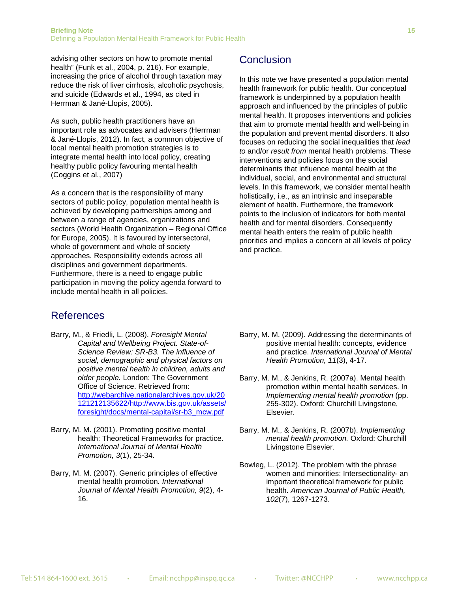advising other sectors on how to promote mental health" (Funk et al., 2004, p. 216). For example, increasing the price of alcohol through taxation may reduce the risk of liver cirrhosis, alcoholic psychosis, and suicide (Edwards et al., 1994, as cited in Herrman & Jané-Llopis, 2005).

As such, public health practitioners have an important role as advocates and advisers (Herrman & Jané-Llopis, 2012). In fact, a common objective of local mental health promotion strategies is to integrate mental health into local policy, creating healthy public policy favouring mental health (Coggins et al., 2007)

As a concern that is the responsibility of many sectors of public policy, population mental health is achieved by developing partnerships among and between a range of agencies, organizations and sectors (World Health Organization – Regional Office for Europe, 2005). It is favoured by intersectoral, whole of government and whole of society approaches. Responsibility extends across all disciplines and government departments. Furthermore, there is a need to engage public participation in moving the policy agenda forward to include mental health in all policies.

# References

- Barry, M., & Friedli, L. (2008). *Foresight Mental Capital and Wellbeing Project. State-of-Science Review: SR-B3. The influence of social, demographic and physical factors on positive mental health in children, adults and older people.* London: The Government Office of Science. Retrieved from: [http://webarchive.nationalarchives.gov.uk/20](http://webarchive.nationalarchives.gov.uk/20121212135622/http:/www.bis.gov.uk/assets/foresight/docs/mental-capital/sr-b3_mcw.pdf) [121212135622/http://www.bis.gov.uk/assets/](http://webarchive.nationalarchives.gov.uk/20121212135622/http:/www.bis.gov.uk/assets/foresight/docs/mental-capital/sr-b3_mcw.pdf) [foresight/docs/mental-capital/sr-b3\\_mcw.pdf](http://webarchive.nationalarchives.gov.uk/20121212135622/http:/www.bis.gov.uk/assets/foresight/docs/mental-capital/sr-b3_mcw.pdf)
- Barry, M. M. (2001). Promoting positive mental health: Theoretical Frameworks for practice. *International Journal of Mental Health Promotion, 3*(1), 25-34.
- Barry, M. M. (2007). Generic principles of effective mental health promotion*. International Journal of Mental Health Promotion, 9*(2), 4- 16.

# Conclusion

In this note we have presented a population mental health framework for public health. Our conceptual framework is underpinned by a population health approach and influenced by the principles of public mental health. It proposes interventions and policies that aim to promote mental health and well-being in the population and prevent mental disorders. It also focuses on reducing the social inequalities that *lead to* and/or *result from* mental health problems. These interventions and policies focus on the social determinants that influence mental health at the individual, social, and environmental and structural levels. In this framework, we consider mental health holistically, i.e., as an intrinsic and inseparable element of health. Furthermore, the framework points to the inclusion of indicators for both mental health and for mental disorders. Consequently mental health enters the realm of public health priorities and implies a concern at all levels of policy and practice.

- Barry, M. M. (2009). Addressing the determinants of positive mental health: concepts, evidence and practice. *International Journal of Mental Health Promotion, 11*(3), 4-17.
- Barry, M. M., & Jenkins, R. (2007a). Mental health promotion within mental health services. In *Implementing mental health promotion* (pp. 255-302). Oxford: Churchill Livingstone, Elsevier.
- Barry, M. M., & Jenkins, R. (2007b). *Implementing mental health promotion.* Oxford: Churchill Livingstone Elsevier.
- Bowleg, L. (2012). The problem with the phrase women and minorities: Intersectionality- an important theoretical framework for public health. *American Journal of Public Health, 102*(7), 1267-1273.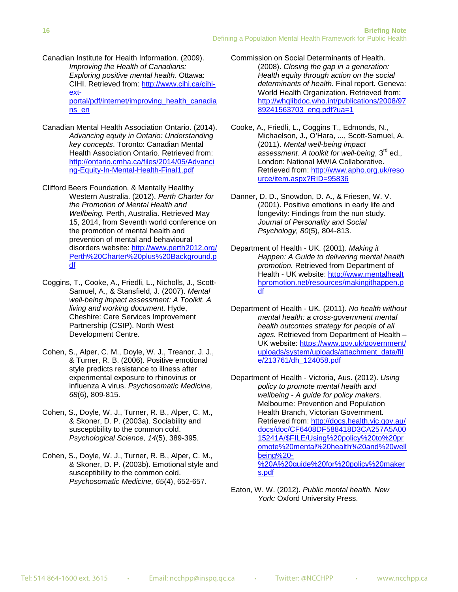Canadian Institute for Health Information. (2009). *Improving the Health of Canadians: Exploring positive mental health*. Ottawa: CIHI. Retrieved from: [http://www.cihi.ca/cihi](http://www.cihi.ca/cihi-ext-portal/pdf/internet/improving_health_canadians_en)[ext](http://www.cihi.ca/cihi-ext-portal/pdf/internet/improving_health_canadians_en)[portal/pdf/internet/improving\\_health\\_canadia](http://www.cihi.ca/cihi-ext-portal/pdf/internet/improving_health_canadians_en) [ns\\_en](http://www.cihi.ca/cihi-ext-portal/pdf/internet/improving_health_canadians_en)

- Canadian Mental Health Association Ontario. (2014). *Advancing equity in Ontario: Understanding key concepts*. Toronto: Canadian Mental Health Association Ontario. Retrieved from: [http://ontario.cmha.ca/files/2014/05/Advanci](http://ontario.cmha.ca/files/2014/05/Advancing-Equity-In-Mental-Health-Final1.pdf) [ng-Equity-In-Mental-Health-Final1.pdf](http://ontario.cmha.ca/files/2014/05/Advancing-Equity-In-Mental-Health-Final1.pdf)
- Clifford Beers Foundation, & Mentally Healthy Western Australia. (2012). *Perth Charter for the Promotion of Mental Health and Wellbeing.* Perth, Australia. Retrieved May 15, 2014, from Seventh world conference on the promotion of mental health and prevention of mental and behavioural disorders website: [http://www.perth2012.org/](http://www.perth2012.org/Perth%20Charter%20plus%20Background.pdf) [Perth%20Charter%20plus%20Background.p](http://www.perth2012.org/Perth%20Charter%20plus%20Background.pdf) [df](http://www.perth2012.org/Perth%20Charter%20plus%20Background.pdf)
- Coggins, T., Cooke, A., Friedli, L., Nicholls, J., Scott-Samuel, A., & Stansfield, J. (2007). *Mental well-being impact assessment: A Toolkit. A living and working document*. Hyde, Cheshire: Care Services Improvement Partnership (CSIP). North West Development Centre.
- Cohen, S., Alper, C. M., Doyle, W. J., Treanor, J. J., & Turner, R. B. (2006). Positive emotional style predicts resistance to illness after experimental exposure to rhinovirus or influenza A virus. *Psychosomatic Medicine, 68*(6), 809-815.
- Cohen, S., Doyle, W. J., Turner, R. B., Alper, C. M., & Skoner, D. P. (2003a). Sociability and susceptibility to the common cold. *Psychological Science, 14*(5), 389-395.
- Cohen, S., Doyle, W. J., Turner, R. B., Alper, C. M., & Skoner, D. P. (2003b). Emotional style and susceptibility to the common cold. *Psychosomatic Medicine, 65*(4), 652-657.
- Commission on Social Determinants of Health. (2008). *Closing the gap in a generation: Health equity through action on the social determinants of health*. Final report*.* Geneva: World Health Organization. Retrieved from: [http://whqlibdoc.who.int/publications/2008/97](http://whqlibdoc.who.int/publications/2008/9789241563703_eng.pdf?ua=1) 89241563703 eng.pdf?ua=1
- Cooke, A., Friedli, L., Coggins T., Edmonds, N., Michaelson, J., O'Hara, ..., Scott-Samuel, A. (2011). *Mental well-being impact assessment. A toolkit for well-being*, 3rd ed., London: National MWIA Collaborative. Retrieved from: [http://www.apho.org.uk/reso](http://www.apho.org.uk/resource/item.aspx?RID=95836) [urce/item.aspx?RID=95836](http://www.apho.org.uk/resource/item.aspx?RID=95836)
- Danner, D. D., Snowdon, D. A., & Friesen, W. V. (2001). Positive emotions in early life and longevity: Findings from the nun study. *Journal of Personality and Social Psychology, 80*(5), 804-813.
- Department of Health UK. (2001). *Making it Happen: A Guide to delivering mental health promotion.* Retrieved from Department of Health - UK website: [http://www.mentalhealt](http://www.mentalhealthpromotion.net/resources/makingithappen.pdf) [hpromotion.net/resources/makingithappen.p](http://www.mentalhealthpromotion.net/resources/makingithappen.pdf) [df](http://www.mentalhealthpromotion.net/resources/makingithappen.pdf)
- Department of Health UK. (2011). *No health without mental health: a cross-government mental health outcomes strategy for people of all ages.* Retrieved from Department of Health – UK website: [https://www.gov.uk/government/](https://www.gov.uk/government/uploads/system/uploads/attachment_data/file/213761/dh_124058.pdf) [uploads/system/uploads/attachment\\_data/fil](https://www.gov.uk/government/uploads/system/uploads/attachment_data/file/213761/dh_124058.pdf) [e/213761/dh\\_124058.pdf](https://www.gov.uk/government/uploads/system/uploads/attachment_data/file/213761/dh_124058.pdf)
- Department of Health Victoria, Aus. (2012). *Using policy to promote mental health and wellbeing - A guide for policy makers.* Melbourne: Prevention and Population Health Branch, Victorian Government. Retrieved from: [http://docs.health.vic.gov.au/](http://docs.health.vic.gov.au/docs/doc/CF6408DF588418D3CA257A5A0015241A/$FILE/Using%20policy%20to%20promote%20mental%20health%20and%20wellbeing%20-%20A%20guide%20for%20policy%20makers.pdf) [docs/doc/CF6408DF588418D3CA257A5A00](http://docs.health.vic.gov.au/docs/doc/CF6408DF588418D3CA257A5A0015241A/$FILE/Using%20policy%20to%20promote%20mental%20health%20and%20wellbeing%20-%20A%20guide%20for%20policy%20makers.pdf) [15241A/\\$FILE/Using%20policy%20to%20pr](http://docs.health.vic.gov.au/docs/doc/CF6408DF588418D3CA257A5A0015241A/$FILE/Using%20policy%20to%20promote%20mental%20health%20and%20wellbeing%20-%20A%20guide%20for%20policy%20makers.pdf) [omote%20mental%20health%20and%20well](http://docs.health.vic.gov.au/docs/doc/CF6408DF588418D3CA257A5A0015241A/$FILE/Using%20policy%20to%20promote%20mental%20health%20and%20wellbeing%20-%20A%20guide%20for%20policy%20makers.pdf) [being%20-](http://docs.health.vic.gov.au/docs/doc/CF6408DF588418D3CA257A5A0015241A/$FILE/Using%20policy%20to%20promote%20mental%20health%20and%20wellbeing%20-%20A%20guide%20for%20policy%20makers.pdf) [%20A%20guide%20for%20policy%20maker](http://docs.health.vic.gov.au/docs/doc/CF6408DF588418D3CA257A5A0015241A/$FILE/Using%20policy%20to%20promote%20mental%20health%20and%20wellbeing%20-%20A%20guide%20for%20policy%20makers.pdf) [s.pdf](http://docs.health.vic.gov.au/docs/doc/CF6408DF588418D3CA257A5A0015241A/$FILE/Using%20policy%20to%20promote%20mental%20health%20and%20wellbeing%20-%20A%20guide%20for%20policy%20makers.pdf)
- Eaton, W. W. (2012). *Public mental health. New York:* Oxford University Press.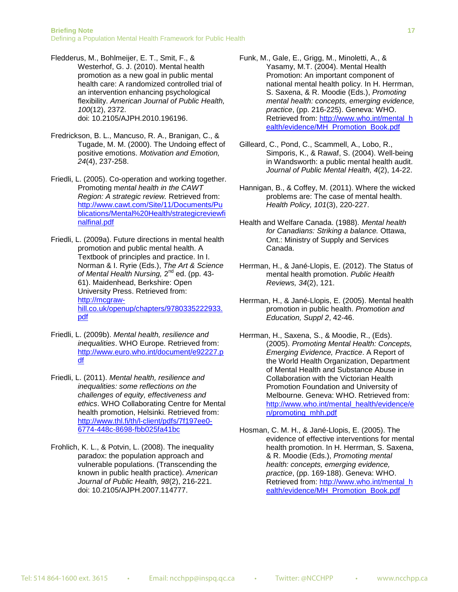Fledderus, M., Bohlmeijer, E. T., Smit, F., & Westerhof, G. J. (2010). Mental health promotion as a new goal in public mental health care: A randomized controlled trial of an intervention enhancing psychological flexibility. *American Journal of Public Health, 100*(12), 2372. doi: 10.2105/AJPH.2010.196196.

- Fredrickson, B. L., Mancuso, R. A., Branigan, C., & Tugade, M. M. (2000). The Undoing effect of positive emotions. *Motivation and Emotion, 24*(4), 237-258.
- Friedli, L. (2005). Co-operation and working together. Promoting m*ental health in the CAWT Region: A strategic review.* Retrieved from: [http://www.cawt.com/Site/11/Documents/Pu](http://www.cawt.com/Site/11/Documents/Publications/Mental%20Health/strategicreviewfinalfinal.pdf) [blications/Mental%20Health/strategicreviewfi](http://www.cawt.com/Site/11/Documents/Publications/Mental%20Health/strategicreviewfinalfinal.pdf) [nalfinal.pdf](http://www.cawt.com/Site/11/Documents/Publications/Mental%20Health/strategicreviewfinalfinal.pdf)
- Friedli, L. (2009a). Future directions in mental health promotion and public mental health. A Textbook of principles and practice. In I. Norman & I. Ryrie (Eds.), *The Art & Science of Mental Health Nursing,* 2nd ed. (pp. 43- 61). Maidenhead, Berkshire: Open University Press. Retrieved from: [http://mcgraw](http://mcgraw-hill.co.uk/openup/chapters/9780335222933.pdf)[hill.co.uk/openup/chapters/9780335222933.](http://mcgraw-hill.co.uk/openup/chapters/9780335222933.pdf) [pdf](http://mcgraw-hill.co.uk/openup/chapters/9780335222933.pdf)
- Friedli, L. (2009b). *Mental health, resilience and inequalities*. WHO Europe. Retrieved from: [http://www.euro.who.int/document/e92227.p](http://www.euro.who.int/document/e92227.pdf) [df](http://www.euro.who.int/document/e92227.pdf)
- Friedli, L. (2011). *Mental health, resilience and inequalities: some reflections on the challenges of equity, effectiveness and ethics*. WHO Collaborating Centre for Mental health promotion, Helsinki. Retrieved from: [http://www.thl.fi/th/l-client/pdfs/7f197ee0-](http://www.thl.fi/th/l-client/pdfs/7f197ee0-6774-448c-8698-fbb025fa41bc) [6774-448c-8698-fbb025fa41bc](http://www.thl.fi/th/l-client/pdfs/7f197ee0-6774-448c-8698-fbb025fa41bc)
- Frohlich, K. L., & Potvin, L. (2008). The inequality paradox: the population approach and vulnerable populations. (Transcending the known in public health practice). *American Journal of Public Health, 98*(2), 216-221. doi: 10.2105/AJPH.2007.114777.
- Funk, M., Gale, E., Grigg, M., Minoletti, A., & Yasamy, M.T. (2004). Mental Health Promotion: An important component of national mental health policy. In H. Herrman, S. Saxena, & R. Moodie (Eds.), *Promoting mental health: concepts, emerging evidence, practice*, (pp. 216-225). Geneva: WHO. Retrieved from: [http://www.who.int/mental\\_h](http://www.who.int/mental_health/evidence/MH_Promotion_Book.pdf) [ealth/evidence/MH\\_Promotion\\_Book.pdf](http://www.who.int/mental_health/evidence/MH_Promotion_Book.pdf)
- Gilleard, C., Pond, C., Scammell, A., Lobo, R., Simporis, K., & Rawaf, S. (2004). Well-being in Wandsworth: a public mental health audit. *Journal of Public Mental Health, 4*(2), 14-22.
- Hannigan, B., & Coffey, M. (2011). Where the wicked problems are: The case of mental health. *Health Policy, 101*(3), 220-227.
- Health and Welfare Canada. (1988). *Mental health for Canadians: Striking a balance.* Ottawa, Ont.: Ministry of Supply and Services Canada.
- Herrman, H., & Jané-Llopis, E. (2012). The Status of mental health promotion. *Public Health Reviews, 34*(2), 121.
- Herrman, H., & Jané-Llopis, E. (2005). Mental health promotion in public health. *Promotion and Education, Suppl 2*, 42-46.
- Herrman, H., Saxena, S., & Moodie, R., (Eds). (2005). *Promoting Mental Health: Concepts, Emerging Evidence, Practice*. A Report of the World Health Organization, Department of Mental Health and Substance Abuse in Collaboration with the Victorian Health Promotion Foundation and University of Melbourne. Geneva: WHO. Retrieved from: [http://www.who.int/mental\\_health/evidence/e](http://www.who.int/mental_health/evidence/en/promoting_mhh.pdf) [n/promoting\\_mhh.pdf](http://www.who.int/mental_health/evidence/en/promoting_mhh.pdf)
- Hosman, C. M. H., & Jané-Llopis, E. (2005). The evidence of effective interventions for mental health promotion. In H. Herrman, S. Saxena, & R. Moodie (Eds.), *Promoting mental health: concepts, emerging evidence, practice*, (pp. 169-188). Geneva: WHO. Retrieved from: [http://www.who.int/mental\\_h](http://www.who.int/mental_health/evidence/MH_Promotion_Book.pdf) [ealth/evidence/MH\\_Promotion\\_Book.pdf](http://www.who.int/mental_health/evidence/MH_Promotion_Book.pdf)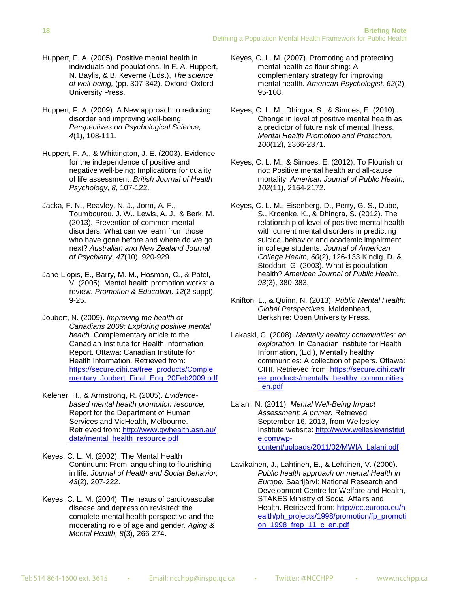- Huppert, F. A. (2005). Positive mental health in individuals and populations. In F. A. Huppert, N. Baylis, & B. Keverne (Eds.), *The science of well-being,* (pp. 307-342). Oxford: Oxford University Press.
- Huppert, F. A. (2009). A New approach to reducing disorder and improving well-being. *Perspectives on Psychological Science, 4*(1), 108-111.
- Huppert, F. A., & Whittington, J. E. (2003). Evidence for the independence of positive and negative well-being: Implications for quality of life assessment. *British Journal of Health Psychology, 8*, 107-122.
- Jacka, F. N., Reavley, N. J., Jorm, A. F., Toumbourou, J. W., Lewis, A. J., & Berk, M. (2013). Prevention of common mental disorders: What can we learn from those who have gone before and where do we go next? *Australian and New Zealand Journal of Psychiatry, 47*(10), 920-929.
- Jané-Llopis, E., Barry, M. M., Hosman, C., & Patel, V. (2005). Mental health promotion works: a review. *Promotion & Education, 12*(2 suppl), 9-25.
- Joubert, N. (2009). *Improving the health of Canadians 2009: Exploring positive mental health.* Complementary article to the Canadian Institute for Health Information Report. Ottawa: Canadian Institute for Health Information. Retrieved from: [https://secure.cihi.ca/free\\_products/Comple](https://secure.cihi.ca/free_products/Complementary_Joubert_Final_Eng_20Feb2009.pdf) [mentary\\_Joubert\\_Final\\_Eng\\_20Feb2009.pdf](https://secure.cihi.ca/free_products/Complementary_Joubert_Final_Eng_20Feb2009.pdf)
- Keleher, H., & Armstrong, R. (2005). *Evidencebased mental health promotion resource,* Report for the Department of Human Services and VicHealth, Melbourne. Retrieved from: [http://www.gwhealth.asn.au/](http://www.gwhealth.asn.au/data/mental_health_resource.pdf) [data/mental\\_health\\_resource.pdf](http://www.gwhealth.asn.au/data/mental_health_resource.pdf)
- Keyes, C. L. M. (2002). The Mental Health Continuum: From languishing to flourishing in life. *Journal of Health and Social Behavior, 43*(2), 207-222.
- Keyes, C. L. M. (2004). The nexus of cardiovascular disease and depression revisited: the complete mental health perspective and the moderating role of age and gender. *Aging & Mental Health, 8*(3), 266-274.
- Keyes, C. L. M. (2007). Promoting and protecting mental health as flourishing: A complementary strategy for improving mental health. *American Psychologist, 62*(2), 95-108.
- Keyes, C. L. M., Dhingra, S., & Simoes, E. (2010). Change in level of positive mental health as a predictor of future risk of mental illness. *Mental Health Promotion and Protection, 100*(12), 2366-2371.
- Keyes, C. L. M., & Simoes, E. (2012). To Flourish or not: Positive mental health and all-cause mortality. *American Journal of Public Health, 102*(11), 2164-2172.
- Keyes, C. L. M., Eisenberg, D., Perry, G. S., Dube, S., Kroenke, K., & Dhingra, S. (2012). The relationship of level of positive mental health with current mental disorders in predicting suicidal behavior and academic impairment in college students. *Journal of American College Health, 60*(2), 126-133.Kindig, D. & Stoddart, G. (2003). What is population health? *American Journal of Public Health, 93*(3), 380-383.
- Knifton, L., & Quinn, N. (2013). *Public Mental Health: Global Perspectives*. Maidenhead, Berkshire: Open University Press.
- Lakaski, C. (2008). *Mentally healthy communities: an exploration.* In Canadian Institute for Health Information, (Ed.), Mentally healthy communities: A collection of papers. Ottawa: CIHI. Retrieved from: [https://secure.cihi.ca/fr](https://secure.cihi.ca/free_products/mentally_healthy_communities_en.pdf) [ee\\_products/mentally\\_healthy\\_communities](https://secure.cihi.ca/free_products/mentally_healthy_communities_en.pdf) [\\_en.pdf](https://secure.cihi.ca/free_products/mentally_healthy_communities_en.pdf)
- Lalani, N. (2011). *Mental Well-Being Impact Assessment: A primer.* Retrieved September 16, 2013, from Wellesley Institute website: [http://www.wellesleyinstitut](http://www.wellesleyinstitute.com/wp-content/uploads/2011/02/MWIA_Lalani.pdf) [e.com/wp](http://www.wellesleyinstitute.com/wp-content/uploads/2011/02/MWIA_Lalani.pdf)[content/uploads/2011/02/MWIA\\_Lalani.pdf](http://www.wellesleyinstitute.com/wp-content/uploads/2011/02/MWIA_Lalani.pdf)
- Lavikainen, J., Lahtinen, E., & Lehtinen, V. (2000). *Public health approach on mental Health in Europe.* Saarijärvi: National Research and Development Centre for Welfare and Health, STAKES Ministry of Social Affairs and Health. Retrieved from: [http://ec.europa.eu/h](http://ec.europa.eu/health/ph_projects/1998/promotion/fp_promotion_1998_frep_11_c_en.pdf) [ealth/ph\\_projects/1998/promotion/fp\\_promoti](http://ec.europa.eu/health/ph_projects/1998/promotion/fp_promotion_1998_frep_11_c_en.pdf) on 1998 frep 11 c en.pdf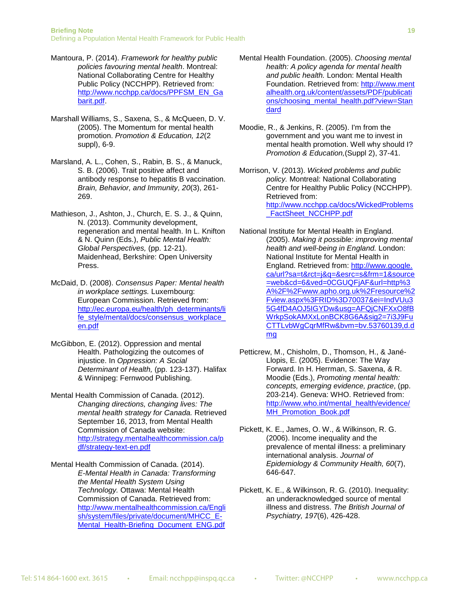- Mantoura, P. (2014). *Framework for healthy public policies favouring mental health*. Montreal: National Collaborating Centre for Healthy Public Policy (NCCHPP). Retrieved from: [http://www.ncchpp.ca/docs/PPFSM\\_EN\\_Ga](http://www.ncchpp.ca/docs/PPFSM_EN_Gabarit.pdf) [barit.pdf.](http://www.ncchpp.ca/docs/PPFSM_EN_Gabarit.pdf)
- Marshall Williams, S., Saxena, S., & McQueen, D. V. (2005). The Momentum for mental health promotion. *Promotion & Education, 12*(2 suppl), 6-9.
- Marsland, A. L., Cohen, S., Rabin, B. S., & Manuck, S. B. (2006). Trait positive affect and antibody response to hepatitis B vaccination. *Brain, Behavior, and Immunity, 20*(3), 261- 269.
- Mathieson, J., Ashton, J., Church, E. S. J., & Quinn, N. (2013). Community development, regeneration and mental health. In L. Knifton & N. Quinn (Eds.), *Public Mental Health: Global Perspectives,* (pp. 12-21). Maidenhead, Berkshire: Open University Press.
- McDaid, D. (2008). *Consensus Paper: Mental health in workplace settings.* Luxembourg: European Commission. Retrieved from: [http://ec.europa.eu/health/ph\\_determinants/li](http://ec.europa.eu/health/ph_determinants/life_style/mental/docs/consensus_workplace_en.pdf) fe\_style/mental/docs/consensus\_workplace [en.pdf](http://ec.europa.eu/health/ph_determinants/life_style/mental/docs/consensus_workplace_en.pdf)
- McGibbon, E. (2012). Oppression and mental Health. Pathologizing the outcomes of injustice. In *Oppression: A Social Determinant of Health,* (pp. 123-137). Halifax & Winnipeg: Fernwood Publishing.
- Mental Health Commission of Canada. (2012). *Changing directions, changing lives: The mental health strategy for Canada.* Retrieved September 16, 2013, from Mental Health Commission of Canada website: [http://strategy.mentalhealthcommission.ca/p](http://strategy.mentalhealthcommission.ca/pdf/strategy-text-en.pdf) [df/strategy-text-en.pdf](http://strategy.mentalhealthcommission.ca/pdf/strategy-text-en.pdf)
- Mental Health Commission of Canada. (2014). *E-Mental Health in Canada: Transforming the Mental Health System Using Technology.* Ottawa: Mental Health Commission of Canada. Retrieved from: [http://www.mentalhealthcommission.ca/Engli](http://www.mentalhealthcommission.ca/English/system/files/private/document/MHCC_E-Mental_Health-Briefing_Document_ENG.pdf) [sh/system/files/private/document/MHCC\\_E-](http://www.mentalhealthcommission.ca/English/system/files/private/document/MHCC_E-Mental_Health-Briefing_Document_ENG.pdf)[Mental\\_Health-Briefing\\_Document\\_ENG.pdf](http://www.mentalhealthcommission.ca/English/system/files/private/document/MHCC_E-Mental_Health-Briefing_Document_ENG.pdf)
- Mental Health Foundation. (2005). *Choosing mental health: A policy agenda for mental health and public health.* London: Mental Health Foundation. Retrieved from: [http://www.ment](http://www.mentalhealth.org.uk/content/assets/PDF/publications/choosing_mental_health.pdf?view=Standard) [alhealth.org.uk/content/assets/PDF/publicati](http://www.mentalhealth.org.uk/content/assets/PDF/publications/choosing_mental_health.pdf?view=Standard) [ons/choosing\\_mental\\_health.pdf?view=Stan](http://www.mentalhealth.org.uk/content/assets/PDF/publications/choosing_mental_health.pdf?view=Standard) [dard](http://www.mentalhealth.org.uk/content/assets/PDF/publications/choosing_mental_health.pdf?view=Standard)
- Moodie, R., & Jenkins, R. (2005). I'm from the government and you want me to invest in mental health promotion. Well why should I? *Promotion & Education,*(Suppl 2), 37-41.
- Morrison, V. (2013). *Wicked problems and public policy.* Montreal: National Collaborating Centre for Healthy Public Policy (NCCHPP). Retrieved from: [http://www.ncchpp.ca/docs/WickedProblems](http://www.ncchpp.ca/docs/WickedProblems_FactSheet_NCCHPP.pdf) [\\_FactSheet\\_NCCHPP.pdf](http://www.ncchpp.ca/docs/WickedProblems_FactSheet_NCCHPP.pdf)
- National Institute for Mental Health in England. (2005). *Making it possible: improving mental health and well-being in England.* London: National Institute for Mental Health in England. Retrieved from: [http://www.google.](http://www.google.ca/url?sa=t&rct=j&q=&esrc=s&frm=1&source=web&cd=6&ved=0CGUQFjAF&url=http%3A%2F%2Fwww.apho.org.uk%2Fresource%2Fview.aspx%3FRID%3D70037&ei=IndVUu35G4fD4AOJ5IGYDw&usg=AFQjCNFXxO8fBWrkpSokAMXxLonBCK8G6A&sig2=7i3J9FuCTTLvbWgCqrMfRw&bvm=bv.53760139,d.dmg) [ca/url?sa=t&rct=j&q=&esrc=s&frm=1&source](http://www.google.ca/url?sa=t&rct=j&q=&esrc=s&frm=1&source=web&cd=6&ved=0CGUQFjAF&url=http%3A%2F%2Fwww.apho.org.uk%2Fresource%2Fview.aspx%3FRID%3D70037&ei=IndVUu35G4fD4AOJ5IGYDw&usg=AFQjCNFXxO8fBWrkpSokAMXxLonBCK8G6A&sig2=7i3J9FuCTTLvbWgCqrMfRw&bvm=bv.53760139,d.dmg) [=web&cd=6&ved=0CGUQFjAF&url=http%3](http://www.google.ca/url?sa=t&rct=j&q=&esrc=s&frm=1&source=web&cd=6&ved=0CGUQFjAF&url=http%3A%2F%2Fwww.apho.org.uk%2Fresource%2Fview.aspx%3FRID%3D70037&ei=IndVUu35G4fD4AOJ5IGYDw&usg=AFQjCNFXxO8fBWrkpSokAMXxLonBCK8G6A&sig2=7i3J9FuCTTLvbWgCqrMfRw&bvm=bv.53760139,d.dmg) [A%2F%2Fwww.apho.org.uk%2Fresource%2](http://www.google.ca/url?sa=t&rct=j&q=&esrc=s&frm=1&source=web&cd=6&ved=0CGUQFjAF&url=http%3A%2F%2Fwww.apho.org.uk%2Fresource%2Fview.aspx%3FRID%3D70037&ei=IndVUu35G4fD4AOJ5IGYDw&usg=AFQjCNFXxO8fBWrkpSokAMXxLonBCK8G6A&sig2=7i3J9FuCTTLvbWgCqrMfRw&bvm=bv.53760139,d.dmg) [Fview.aspx%3FRID%3D70037&ei=IndVUu3](http://www.google.ca/url?sa=t&rct=j&q=&esrc=s&frm=1&source=web&cd=6&ved=0CGUQFjAF&url=http%3A%2F%2Fwww.apho.org.uk%2Fresource%2Fview.aspx%3FRID%3D70037&ei=IndVUu35G4fD4AOJ5IGYDw&usg=AFQjCNFXxO8fBWrkpSokAMXxLonBCK8G6A&sig2=7i3J9FuCTTLvbWgCqrMfRw&bvm=bv.53760139,d.dmg) [5G4fD4AOJ5IGYDw&usg=AFQjCNFXxO8fB](http://www.google.ca/url?sa=t&rct=j&q=&esrc=s&frm=1&source=web&cd=6&ved=0CGUQFjAF&url=http%3A%2F%2Fwww.apho.org.uk%2Fresource%2Fview.aspx%3FRID%3D70037&ei=IndVUu35G4fD4AOJ5IGYDw&usg=AFQjCNFXxO8fBWrkpSokAMXxLonBCK8G6A&sig2=7i3J9FuCTTLvbWgCqrMfRw&bvm=bv.53760139,d.dmg) [WrkpSokAMXxLonBCK8G6A&sig2=7i3J9Fu](http://www.google.ca/url?sa=t&rct=j&q=&esrc=s&frm=1&source=web&cd=6&ved=0CGUQFjAF&url=http%3A%2F%2Fwww.apho.org.uk%2Fresource%2Fview.aspx%3FRID%3D70037&ei=IndVUu35G4fD4AOJ5IGYDw&usg=AFQjCNFXxO8fBWrkpSokAMXxLonBCK8G6A&sig2=7i3J9FuCTTLvbWgCqrMfRw&bvm=bv.53760139,d.dmg) [CTTLvbWgCqrMfRw&bvm=bv.53760139,d.d](http://www.google.ca/url?sa=t&rct=j&q=&esrc=s&frm=1&source=web&cd=6&ved=0CGUQFjAF&url=http%3A%2F%2Fwww.apho.org.uk%2Fresource%2Fview.aspx%3FRID%3D70037&ei=IndVUu35G4fD4AOJ5IGYDw&usg=AFQjCNFXxO8fBWrkpSokAMXxLonBCK8G6A&sig2=7i3J9FuCTTLvbWgCqrMfRw&bvm=bv.53760139,d.dmg) [mg](http://www.google.ca/url?sa=t&rct=j&q=&esrc=s&frm=1&source=web&cd=6&ved=0CGUQFjAF&url=http%3A%2F%2Fwww.apho.org.uk%2Fresource%2Fview.aspx%3FRID%3D70037&ei=IndVUu35G4fD4AOJ5IGYDw&usg=AFQjCNFXxO8fBWrkpSokAMXxLonBCK8G6A&sig2=7i3J9FuCTTLvbWgCqrMfRw&bvm=bv.53760139,d.dmg)
- Petticrew, M., Chisholm, D., Thomson, H., & Jané-Llopis, E. (2005). Evidence: The Way Forward. In H. Herrman, S. Saxena, & R. Moodie (Eds.), *Promoting mental health: concepts, emerging evidence, practice*, (pp. 203-214). Geneva: WHO. Retrieved from: [http://www.who.int/mental\\_health/evidence/](http://www.who.int/mental_health/evidence/MH_Promotion_Book.pdf) [MH\\_Promotion\\_Book.pdf](http://www.who.int/mental_health/evidence/MH_Promotion_Book.pdf)
- Pickett, K. E., James, O. W., & Wilkinson, R. G. (2006). Income inequality and the prevalence of mental illness: a preliminary international analysis. *Journal of Epidemiology & Community Health, 60*(7), 646-647.
- Pickett, K. E., & Wilkinson, R. G. (2010). Inequality: an underacknowledged source of mental illness and distress. *The British Journal of Psychiatry, 197*(6), 426-428.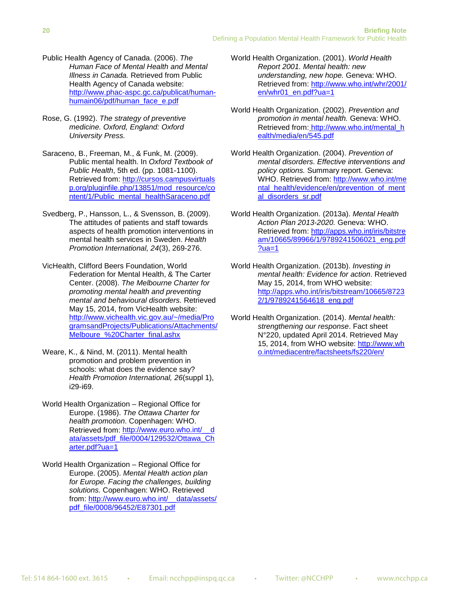- Public Health Agency of Canada. (2006). *The Human Face of Mental Health and Mental Illness in Canada.* Retrieved from Public Health Agency of Canada website: [http://www.phac-aspc.gc.ca/publicat/human](http://www.phac-aspc.gc.ca/publicat/human-humain06/pdf/human_face_e.pdf)[humain06/pdf/human\\_face\\_e.pdf](http://www.phac-aspc.gc.ca/publicat/human-humain06/pdf/human_face_e.pdf)
- Rose, G. (1992). *The strategy of preventive medicine. Oxford, England: Oxford University Press.*
- Saraceno, B., Freeman, M., & Funk, M. (2009). Public mental health. In *Oxford Textbook of Public Health*, 5th ed. (pp. 1081-1100). Retrieved from: [http://cursos.campusvirtuals](http://cursos.campusvirtualsp.org/pluginfile.php/13851/mod_resource/content/1/Public_mental_healthSaraceno.pdf) [p.org/pluginfile.php/13851/mod\\_resource/co](http://cursos.campusvirtualsp.org/pluginfile.php/13851/mod_resource/content/1/Public_mental_healthSaraceno.pdf) [ntent/1/Public\\_mental\\_healthSaraceno.pdf](http://cursos.campusvirtualsp.org/pluginfile.php/13851/mod_resource/content/1/Public_mental_healthSaraceno.pdf)
- Svedberg, P., Hansson, L., & Svensson, B. (2009). The attitudes of patients and staff towards aspects of health promotion interventions in mental health services in Sweden. *Health Promotion International, 24*(3), 269-276.
- VicHealth, Clifford Beers Foundation, World Federation for Mental Health, & The Carter Center. (2008). *The Melbourne Charter for promoting mental health and preventing mental and behavioural disorders.* Retrieved May 15, 2014, from VicHealth website: [http://www.vichealth.vic.gov.au/~/media/Pro](http://www.vichealth.vic.gov.au/~/media/ProgramsandProjects/Publications/Attachments/Melboure_%20Charter_final.ashx) [gramsandProjects/Publications/Attachments/](http://www.vichealth.vic.gov.au/~/media/ProgramsandProjects/Publications/Attachments/Melboure_%20Charter_final.ashx) Melboure %20Charter\_final.ashx
- Weare, K., & Nind, M. (2011). Mental health promotion and problem prevention in schools: what does the evidence say? *Health Promotion International, 26*(suppl 1), i29-i69.
- World Health Organization Regional Office for Europe. (1986). *The Ottawa Charter for health promotion*. Copenhagen: WHO. Retrieved from: http://www.euro.who.int/ [ata/assets/pdf\\_file/0004/129532/Ottawa\\_Ch](http://www.euro.who.int/__data/assets/pdf_file/0004/129532/Ottawa_Charter.pdf?ua=1) [arter.pdf?ua=1](http://www.euro.who.int/__data/assets/pdf_file/0004/129532/Ottawa_Charter.pdf?ua=1)
- World Health Organization Regional Office for Europe. (2005). *Mental Health action plan for Europe. Facing the challenges, building solutions.* Copenhagen: WHO. Retrieved from: [http://www.euro.who.int/\\_\\_data/assets/](http://www.euro.who.int/__data/assets/pdf_file/0008/96452/E87301.pdf) [pdf\\_file/0008/96452/E87301.pdf](http://www.euro.who.int/__data/assets/pdf_file/0008/96452/E87301.pdf)
- World Health Organization. (2001). *World Health Report 2001. Mental health: new understanding, new hope.* Geneva: WHO. Retrieved from: [http://www.who.int/whr/2001/](http://www.who.int/whr/2001/en/whr01_en.pdf?ua=1) [en/whr01\\_en.pdf?ua=1](http://www.who.int/whr/2001/en/whr01_en.pdf?ua=1)
- World Health Organization. (2002). *Prevention and promotion in mental health.* Geneva: WHO. Retrieved from: [http://www.who.int/mental\\_h](http://www.who.int/mental_health/media/en/545.pdf) [ealth/media/en/545.pdf](http://www.who.int/mental_health/media/en/545.pdf)
- World Health Organization. (2004). *Prevention of mental disorders. Effective interventions and policy options.* Summary report. Geneva: WHO. Retrieved from: [http://www.who.int/me](http://www.who.int/mental_health/evidence/en/prevention_of_mental_disorders_sr.pdf) [ntal\\_health/evidence/en/prevention\\_of\\_ment](http://www.who.int/mental_health/evidence/en/prevention_of_mental_disorders_sr.pdf) al disorders sr.pdf
- World Health Organization. (2013a). *Mental Health Action Plan 2013-2020.* Geneva: WHO. Retrieved from: [http://apps.who.int/iris/bitstre](http://apps.who.int/iris/bitstream/10665/89966/1/9789241506021_eng.pdf?ua=1) [am/10665/89966/1/9789241506021\\_eng.pdf](http://apps.who.int/iris/bitstream/10665/89966/1/9789241506021_eng.pdf?ua=1)  $?ua=1$
- World Health Organization. (2013b). *Investing in mental health: Evidence for action*. Retrieved May 15, 2014, from WHO website: [http://apps.who.int/iris/bitstream/10665/8723](http://apps.who.int/iris/bitstream/10665/87232/1/9789241564618_eng.pdf) [2/1/9789241564618\\_eng.pdf](http://apps.who.int/iris/bitstream/10665/87232/1/9789241564618_eng.pdf)
- World Health Organization. (2014). *Mental health: strengthening our response*. Fact sheet N°220, updated April 2014. Retrieved May 15, 2014, from WHO website: [http://www.wh](http://www.who.int/mediacentre/factsheets/fs220/en/) [o.int/mediacentre/factsheets/fs220/en/](http://www.who.int/mediacentre/factsheets/fs220/en/)